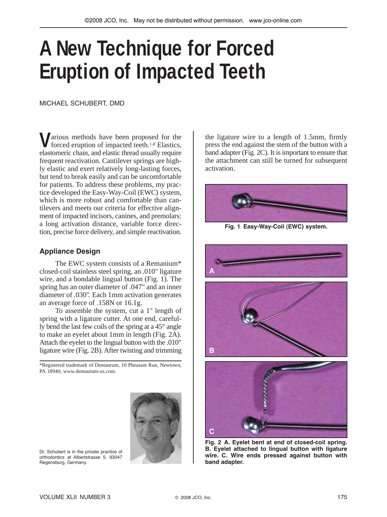# **A New Technique for Forced Eruption of Impacted Teeth**

MICHAEL SCHUBERT, DMD

**V**arious methods have been proposed for the forced eruption of impacted teeth.1-8 Elastics, elastomeric chain, and elastic thread usually require frequent reactivation. Cantilever springs are highly elastic and exert relatively long-lasting forces, but tend to break easily and can be uncomfortable for patients. To address these problems, my practice developed the Easy-Way-Coil (EWC) system, which is more robust and comfortable than cantilevers and meets our criteria for effective alignment of impacted incisors, canines, and premolars: a long activation distance, variable force direction, precise force delivery, and simple reactivation.

## **Appliance Design**

The EWC system consists of a Remanium\* closed-coil stainless steel spring, an .010" ligature wire, and a bondable lingual button (Fig. 1). The spring has an outer diameter of .047" and an inner diameter of .030". Each 1mm activation generates an average force of .158N or 16.1g.

To assemble the system, cut a 1" length of spring with a ligature cutter. At one end, carefully bend the last few coils of the spring at a 45° angle to make an eyelet about 1mm in length (Fig. 2A). Attach the eyelet to the lingual button with the .010" ligature wire (Fig. 2B). After twisting and trimming

\*Registered trademark of Dentaurum, 10 Pheasant Run, Newtown, PA 18940; www.dentaurum-us.com.



Dr. Schubert is in the private practice of orthodontics at Albertstrasse 5, 93047 Regensburg, Germany.

the ligature wire to a length of 1.5mm, firmly press the end against the stem of the button with a band adapter (Fig. 2C). It is important to ensure that the attachment can still be turned for subsequent activation.



**Fig. 1 Easy-Way-Coil (EWC) system.**



**Fig. 2 A. Eyelet bent at end of closed-coil spring. B. Eyelet attached to lingual button with ligature wire. C. Wire ends pressed against button with band adapter.**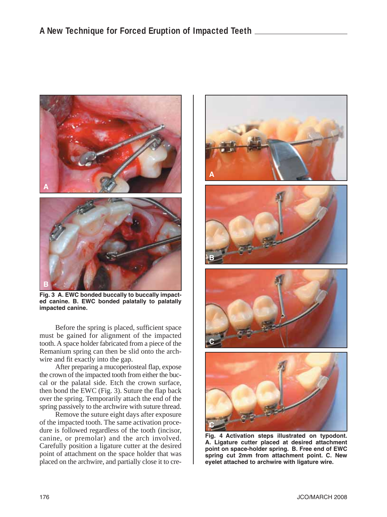

**Fig. 3 A. EWC bonded buccally to buccally impacted canine. B. EWC bonded palatally to palatally impacted canine.**

Before the spring is placed, sufficient space must be gained for alignment of the impacted tooth. A space holder fabricated from a piece of the Remanium spring can then be slid onto the archwire and fit exactly into the gap.

After preparing a mucoperiosteal flap, expose the crown of the impacted tooth from either the buccal or the palatal side. Etch the crown surface, then bond the EWC (Fig. 3). Suture the flap back over the spring. Temporarily attach the end of the spring passively to the archwire with suture thread.

Remove the suture eight days after exposure of the impacted tooth. The same activation procedure is followed regardless of the tooth (incisor, canine, or premolar) and the arch involved. Carefully position a ligature cutter at the desired point of attachment on the space holder that was placed on the archwire, and partially close it to cre-









**Fig. 4 Activation steps illustrated on typodont. A. Ligature cutter placed at desired attachment point on space-holder spring. B. Free end of EWC spring cut 2mm from attachment point. C. New eyelet attached to archwire with ligature wire.**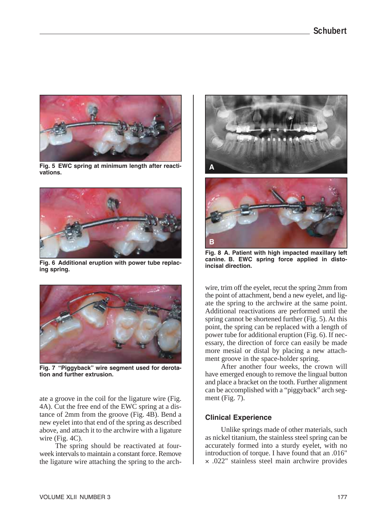

**Fig. 5 EWC spring at minimum length after reactivations.**



**Fig. 6 Additional eruption with power tube replacing spring.**



**Fig. 7 "Piggyback" wire segment used for derotation and further extrusion.**

ate a groove in the coil for the ligature wire (Fig. 4A). Cut the free end of the EWC spring at a distance of 2mm from the groove (Fig. 4B). Bend a new eyelet into that end of the spring as described above, and attach it to the archwire with a ligature wire (Fig. 4C).

The spring should be reactivated at fourweek intervals to maintain a constant force. Remove the ligature wire attaching the spring to the arch-





**Fig. 8 A. Patient with high impacted maxillary left** canine. B. EWC spring force applied in disto**incisal direction.**

wire, trim off the eyelet, recut the spring 2mm from the point of attachment, bend a new eyelet, and ligate the spring to the archwire at the same point. Additional reactivations are performed until the spring cannot be shortened further (Fig. 5). At this point, the spring can be replaced with a length of power tube for additional eruption (Fig. 6). If necessary, the direction of force can easily be made more mesial or distal by placing a new attachment groove in the space-holder spring.

After another four weeks, the crown will have emerged enough to remove the lingual button and place a bracket on the tooth. Further alignment can be accomplished with a "piggyback" arch segment (Fig. 7).

# **Clinical Experience**

Unlike springs made of other materials, such as nickel titanium, the stainless steel spring can be accurately formed into a sturdy eyelet, with no introduction of torque. I have found that an .016" × .022" stainless steel main archwire provides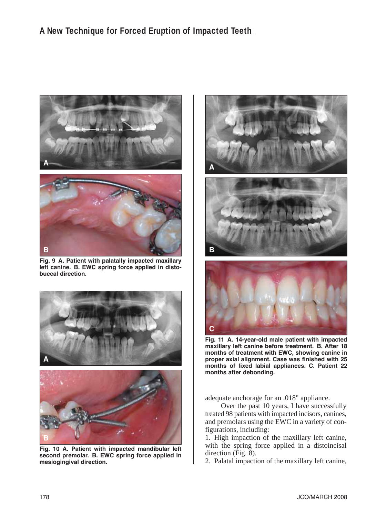

**Fig. 9 A. Patient with palatally impacted maxillary left canine. B. EWC spring force applied in distobuccal direction.**



**Fig. 10 A. Patient with impacted mandibular left second premolar. B. EWC spring force applied in mesiogingival direction.**



**Fig. 11 A. 14-year-old male patient with impacted maxillary left canine before treatment. B. After 18 months of treatment with EWC, showing canine in proper axial alignment. Case was finished with 25 months of fixed labial appliances. C. Patient 22 months after debonding.**

adequate anchorage for an .018" appliance.

Over the past 10 years, I have successfully treated 98 patients with impacted incisors, canines, and premolars using the EWC in a variety of configurations, including:

1. High impaction of the maxillary left canine, with the spring force applied in a distoincisal direction (Fig. 8).

2. Palatal impaction of the maxillary left canine,